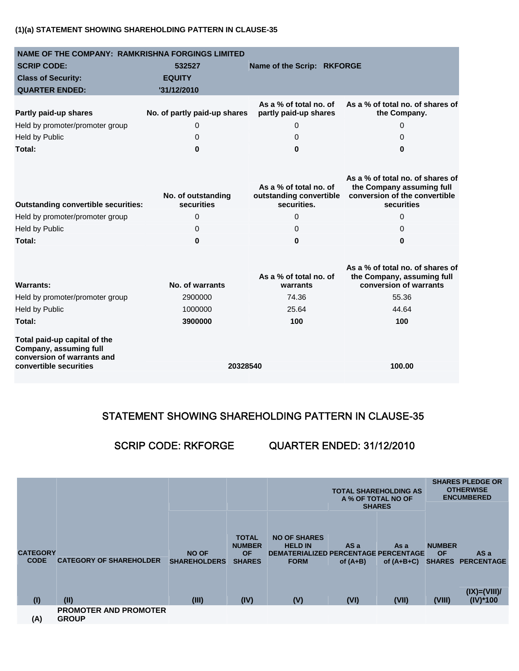## **(1)(a) STATEMENT SHOWING SHAREHOLDING PATTERN IN CLAUSE-35**

| <b>NAME OF THE COMPANY: RAMKRISHNA FORGINGS LIMITED</b>                                                        |                                  |                                                                  |                                                                                                              |  |  |  |
|----------------------------------------------------------------------------------------------------------------|----------------------------------|------------------------------------------------------------------|--------------------------------------------------------------------------------------------------------------|--|--|--|
| <b>SCRIP CODE:</b>                                                                                             | 532527                           | Name of the Scrip: RKFORGE                                       |                                                                                                              |  |  |  |
| <b>Class of Security:</b>                                                                                      | <b>EQUITY</b>                    |                                                                  |                                                                                                              |  |  |  |
| <b>QUARTER ENDED:</b>                                                                                          | '31/12/2010                      |                                                                  |                                                                                                              |  |  |  |
| Partly paid-up shares                                                                                          | No. of partly paid-up shares     | As a % of total no. of<br>partly paid-up shares                  | As a % of total no. of shares of<br>the Company.                                                             |  |  |  |
| Held by promoter/promoter group                                                                                | 0                                | 0                                                                | $\Omega$                                                                                                     |  |  |  |
| <b>Held by Public</b>                                                                                          | 0                                | 0                                                                | 0                                                                                                            |  |  |  |
| Total:                                                                                                         | 0                                | 0                                                                | 0                                                                                                            |  |  |  |
| <b>Outstanding convertible securities:</b>                                                                     | No. of outstanding<br>securities | As a % of total no. of<br>outstanding convertible<br>securities. | As a % of total no. of shares of<br>the Company assuming full<br>conversion of the convertible<br>securities |  |  |  |
| Held by promoter/promoter group                                                                                | $\Omega$                         | 0                                                                | $\Omega$                                                                                                     |  |  |  |
| <b>Held by Public</b>                                                                                          | 0                                | 0                                                                | 0                                                                                                            |  |  |  |
| Total:                                                                                                         | $\bf{0}$                         | $\bf{0}$                                                         | 0                                                                                                            |  |  |  |
| <b>Warrants:</b>                                                                                               | No. of warrants                  | As a % of total no. of<br>warrants                               | As a % of total no. of shares of<br>the Company, assuming full<br>conversion of warrants                     |  |  |  |
| Held by promoter/promoter group                                                                                | 2900000                          | 74.36                                                            | 55.36                                                                                                        |  |  |  |
| <b>Held by Public</b>                                                                                          | 1000000                          | 25.64                                                            | 44.64                                                                                                        |  |  |  |
| Total:                                                                                                         | 3900000                          | 100                                                              | 100                                                                                                          |  |  |  |
| Total paid-up capital of the<br>Company, assuming full<br>conversion of warrants and<br>convertible securities | 20328540                         |                                                                  | 100.00                                                                                                       |  |  |  |

# STATEMENT SHOWING SHAREHOLDING PATTERN IN CLAUSE-35

# SCRIP CODE: RKFORGE QUARTER ENDED: 31/12/2010

|                                |                                              |                                     |                                                             |                                                                                                     | <b>SHARES</b>      | <b>TOTAL SHAREHOLDING AS</b><br>A % OF TOTAL NO OF |                            | <b>SHARES PLEDGE OR</b><br><b>OTHERWISE</b><br><b>ENCUMBERED</b> |
|--------------------------------|----------------------------------------------|-------------------------------------|-------------------------------------------------------------|-----------------------------------------------------------------------------------------------------|--------------------|----------------------------------------------------|----------------------------|------------------------------------------------------------------|
| <b>CATEGORY</b><br><b>CODE</b> | <b>CATEGORY OF SHAREHOLDER</b>               | <b>NO OF</b><br><b>SHAREHOLDERS</b> | <b>TOTAL</b><br><b>NUMBER</b><br><b>OF</b><br><b>SHARES</b> | <b>NO OF SHARES</b><br><b>HELD IN</b><br><b>DEMATERIALIZED PERCENTAGE PERCENTAGE</b><br><b>FORM</b> | AS a<br>of $(A+B)$ | As a<br>of $(A+B+C)$                               | <b>NUMBER</b><br><b>OF</b> | AS a<br>SHARES PERCENTAGE                                        |
| (1)                            | (II)                                         | (III)                               | (IV)                                                        | (V)                                                                                                 | (VI)               | (VII)                                              | (VIII)                     | $(IX)=(VIII)/$<br>$(IV)^*100$                                    |
| (A)                            | <b>PROMOTER AND PROMOTER</b><br><b>GROUP</b> |                                     |                                                             |                                                                                                     |                    |                                                    |                            |                                                                  |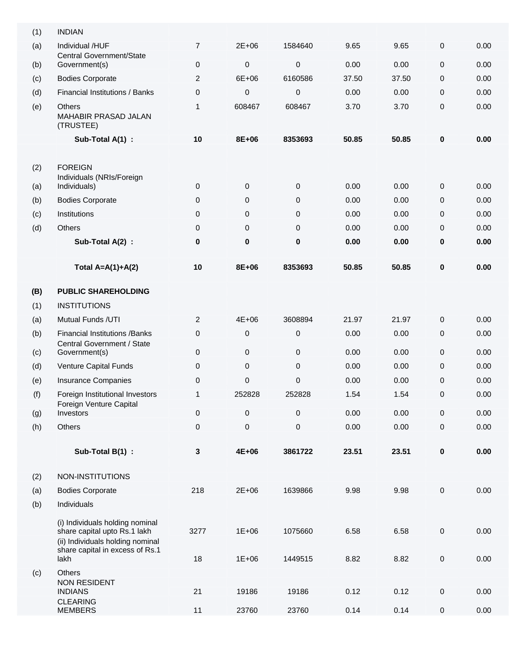| (1) | <b>INDIAN</b>                                                                                                                          |                |             |             |       |       |           |      |
|-----|----------------------------------------------------------------------------------------------------------------------------------------|----------------|-------------|-------------|-------|-------|-----------|------|
| (a) | Individual /HUF<br>Central Government/State                                                                                            | $\overline{7}$ | $2E + 06$   | 1584640     | 9.65  | 9.65  | 0         | 0.00 |
| (b) | Government(s)                                                                                                                          | $\mathbf{0}$   | $\mathbf 0$ | $\mathbf 0$ | 0.00  | 0.00  | 0         | 0.00 |
| (c) | <b>Bodies Corporate</b>                                                                                                                | $\overline{2}$ | 6E+06       | 6160586     | 37.50 | 37.50 | 0         | 0.00 |
| (d) | Financial Institutions / Banks                                                                                                         | $\mathbf{0}$   | $\pmb{0}$   | 0           | 0.00  | 0.00  | 0         | 0.00 |
| (e) | <b>Others</b><br>MAHABIR PRASAD JALAN<br>(TRUSTEE)                                                                                     | 1              | 608467      | 608467      | 3.70  | 3.70  | 0         | 0.00 |
|     | Sub-Total A(1) :                                                                                                                       | 10             | 8E+06       | 8353693     | 50.85 | 50.85 | $\bf{0}$  | 0.00 |
| (2) | <b>FOREIGN</b>                                                                                                                         |                |             |             |       |       |           |      |
| (a) | Individuals (NRIs/Foreign<br>Individuals)                                                                                              | 0              | $\mathbf 0$ | 0           | 0.00  | 0.00  | 0         | 0.00 |
| (b) | <b>Bodies Corporate</b>                                                                                                                | 0              | $\mathbf 0$ | 0           | 0.00  | 0.00  | 0         | 0.00 |
| (c) | Institutions                                                                                                                           | 0              | 0           | 0           | 0.00  | 0.00  | 0         | 0.00 |
| (d) | Others                                                                                                                                 | 0              | $\mathbf 0$ | 0           | 0.00  | 0.00  | 0         | 0.00 |
|     | Sub-Total A(2) :                                                                                                                       | $\bf{0}$       | $\bf{0}$    | 0           | 0.00  | 0.00  | 0         | 0.00 |
|     | Total $A=A(1)+A(2)$                                                                                                                    | 10             | 8E+06       | 8353693     | 50.85 | 50.85 | $\bf{0}$  | 0.00 |
| (B) | <b>PUBLIC SHAREHOLDING</b>                                                                                                             |                |             |             |       |       |           |      |
| (1) | <b>INSTITUTIONS</b>                                                                                                                    |                |             |             |       |       |           |      |
| (a) | Mutual Funds /UTI                                                                                                                      | 2              | $4E + 06$   | 3608894     | 21.97 | 21.97 | 0         | 0.00 |
| (b) | <b>Financial Institutions /Banks</b><br>Central Government / State                                                                     | 0              | $\mathbf 0$ | 0           | 0.00  | 0.00  | 0         | 0.00 |
| (c) | Government(s)                                                                                                                          | 0              | 0           | 0           | 0.00  | 0.00  | 0         | 0.00 |
| (d) | Venture Capital Funds                                                                                                                  | 0              | $\mathbf 0$ | $\mathbf 0$ | 0.00  | 0.00  | 0         | 0.00 |
| (e) | <b>Insurance Companies</b>                                                                                                             | 0              | 0           | 0           | 0.00  | 0.00  | 0         | 0.00 |
| (f) | Foreign Institutional Investors<br>Foreign Venture Capital                                                                             | 1              | 252828      | 252828      | 1.54  | 1.54  | 0         | 0.00 |
| (g) | Investors                                                                                                                              | 0              | $\pmb{0}$   | 0           | 0.00  | 0.00  | 0         | 0.00 |
| (h) | Others                                                                                                                                 | 0              | $\pmb{0}$   | 0           | 0.00  | 0.00  | 0         | 0.00 |
|     | Sub-Total B(1) :                                                                                                                       | $\mathbf 3$    | 4E+06       | 3861722     | 23.51 | 23.51 | $\pmb{0}$ | 0.00 |
| (2) | NON-INSTITUTIONS                                                                                                                       |                |             |             |       |       |           |      |
| (a) | <b>Bodies Corporate</b>                                                                                                                | 218            | 2E+06       | 1639866     | 9.98  | 9.98  | $\pmb{0}$ | 0.00 |
| (b) | Individuals                                                                                                                            |                |             |             |       |       |           |      |
|     | (i) Individuals holding nominal<br>share capital upto Rs.1 lakh<br>(ii) Individuals holding nominal<br>share capital in excess of Rs.1 | 3277           | $1E + 06$   | 1075660     | 6.58  | 6.58  | $\pmb{0}$ | 0.00 |
| (c) | lakh<br>Others                                                                                                                         | 18             | $1E + 06$   | 1449515     | 8.82  | 8.82  | 0         | 0.00 |
|     | <b>NON RESIDENT</b><br><b>INDIANS</b><br><b>CLEARING</b>                                                                               | 21             | 19186       | 19186       | 0.12  | 0.12  | 0         | 0.00 |
|     | <b>MEMBERS</b>                                                                                                                         | 11             | 23760       | 23760       | 0.14  | 0.14  | $\pmb{0}$ | 0.00 |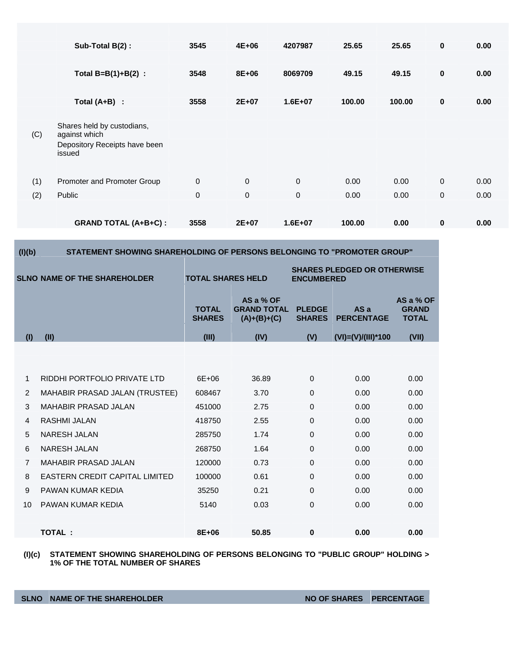|     | Sub-Total B(2):                             | 3545           | 4E+06        | 4207987     | 25.65  | 25.65  | $\bf{0}$     | 0.00 |
|-----|---------------------------------------------|----------------|--------------|-------------|--------|--------|--------------|------|
|     | Total $B=B(1)+B(2)$ :                       | 3548           | 8E+06        | 8069709     | 49.15  | 49.15  | $\pmb{0}$    | 0.00 |
|     | Total $(A+B)$ :                             | 3558           | $2E+07$      | $1.6E + 07$ | 100.00 | 100.00 | 0            | 0.00 |
| (C) | Shares held by custodians,<br>against which |                |              |             |        |        |              |      |
|     | Depository Receipts have been<br>issued     |                |              |             |        |        |              |      |
|     |                                             |                |              |             |        |        |              |      |
| (1) | Promoter and Promoter Group                 | $\overline{0}$ | $\mathbf{0}$ | $\mathbf 0$ | 0.00   | 0.00   | $\mathbf{0}$ | 0.00 |
| (2) | Public                                      | $\mathbf 0$    | $\mathbf{0}$ | $\mathbf 0$ | 0.00   | 0.00   | 0            | 0.00 |
|     |                                             |                |              |             |        |        |              |      |
|     | <b>GRAND TOTAL (A+B+C):</b>                 | 3558           | $2E+07$      | $1.6E + 07$ | 100.00 | 0.00   | $\bf{0}$     | 0.00 |

| (I)(b)         | STATEMENT SHOWING SHAREHOLDING OF PERSONS BELONGING TO "PROMOTER GROUP" |                                                                                     |                                                  |                                |                          |                                           |  |  |  |
|----------------|-------------------------------------------------------------------------|-------------------------------------------------------------------------------------|--------------------------------------------------|--------------------------------|--------------------------|-------------------------------------------|--|--|--|
|                | <b>SLNO NAME OF THE SHAREHOLDER</b>                                     | <b>SHARES PLEDGED OR OTHERWISE</b><br><b>TOTAL SHARES HELD</b><br><b>ENCUMBERED</b> |                                                  |                                |                          |                                           |  |  |  |
|                |                                                                         | <b>TOTAL</b><br><b>SHARES</b>                                                       | AS a % OF<br><b>GRAND TOTAL</b><br>$(A)+(B)+(C)$ | <b>PLEDGE</b><br><b>SHARES</b> | ASa<br><b>PERCENTAGE</b> | AS a % OF<br><b>GRAND</b><br><b>TOTAL</b> |  |  |  |
| (1)            | (II)                                                                    | (III)                                                                               | (IV)                                             | (V)                            | $(VI)=(V)/(III)*100$     | (VII)                                     |  |  |  |
|                |                                                                         |                                                                                     |                                                  |                                |                          |                                           |  |  |  |
|                |                                                                         |                                                                                     |                                                  |                                |                          |                                           |  |  |  |
| 1              | RIDDHI PORTFOLIO PRIVATE LTD                                            | 6E+06                                                                               | 36.89                                            | $\Omega$                       | 0.00                     | 0.00                                      |  |  |  |
| 2              | MAHABIR PRASAD JALAN (TRUSTEE)                                          | 608467                                                                              | 3.70                                             | $\mathbf 0$                    | 0.00                     | 0.00                                      |  |  |  |
| 3              | <b>MAHABIR PRASAD JALAN</b>                                             | 451000                                                                              | 2.75                                             | $\mathbf 0$                    | 0.00                     | 0.00                                      |  |  |  |
| 4              | <b>RASHMI JALAN</b>                                                     | 418750                                                                              | 2.55                                             | 0                              | 0.00                     | 0.00                                      |  |  |  |
| 5              | <b>NARESH JALAN</b>                                                     | 285750                                                                              | 1.74                                             | $\mathbf 0$                    | 0.00                     | 0.00                                      |  |  |  |
| 6              | <b>NARESH JALAN</b>                                                     | 268750                                                                              | 1.64                                             | $\Omega$                       | 0.00                     | 0.00                                      |  |  |  |
| $\overline{7}$ | <b>MAHABIR PRASAD JALAN</b>                                             | 120000                                                                              | 0.73                                             | $\mathbf 0$                    | 0.00                     | 0.00                                      |  |  |  |
| 8              | <b>EASTERN CREDIT CAPITAL LIMITED</b>                                   | 100000                                                                              | 0.61                                             | $\Omega$                       | 0.00                     | 0.00                                      |  |  |  |
| 9              | PAWAN KUMAR KEDIA                                                       | 35250                                                                               | 0.21                                             | $\mathbf 0$                    | 0.00                     | 0.00                                      |  |  |  |
| 10             | PAWAN KUMAR KEDIA                                                       | 5140                                                                                | 0.03                                             | 0                              | 0.00                     | 0.00                                      |  |  |  |
|                |                                                                         |                                                                                     |                                                  |                                |                          |                                           |  |  |  |
|                | <b>TOTAL:</b>                                                           | 8E+06                                                                               | 50.85                                            | 0                              | 0.00                     | 0.00                                      |  |  |  |
|                |                                                                         |                                                                                     |                                                  |                                |                          |                                           |  |  |  |

**(I)(c) STATEMENT SHOWING SHAREHOLDING OF PERSONS BELONGING TO "PUBLIC GROUP" HOLDING > 1% OF THE TOTAL NUMBER OF SHARES**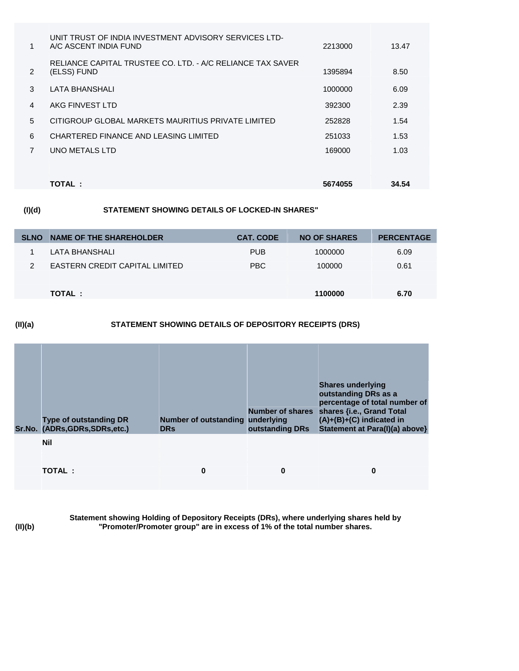| $\mathbf{1}$ | UNIT TRUST OF INDIA INVESTMENT ADVISORY SERVICES LTD-<br>A/C ASCENT INDIA FUND | 2213000 | 13.47 |
|--------------|--------------------------------------------------------------------------------|---------|-------|
| 2            | RELIANCE CAPITAL TRUSTEE CO. LTD. - A/C RELIANCE TAX SAVER<br>(ELSS) FUND      | 1395894 | 8.50  |
| 3            | LATA BHANSHALI                                                                 | 1000000 | 6.09  |
| 4            | AKG FINVEST LTD                                                                | 392300  | 2.39  |
| 5            | CITIGROUP GLOBAL MARKETS MAURITIUS PRIVATE LIMITED                             | 252828  | 1.54  |
| 6            | CHARTERED FINANCE AND LEASING LIMITED                                          | 251033  | 1.53  |
| 7            | UNO METALS LTD                                                                 | 169000  | 1.03  |
|              |                                                                                |         |       |
|              | <b>TOTAL :</b>                                                                 | 5674055 | 34.54 |

## **(I)(d) STATEMENT SHOWING DETAILS OF LOCKED-IN SHARES"**

| <b>SLNO</b> | NAME OF THE SHAREHOLDER        | <b>CAT. CODE</b> | <b>NO OF SHARES</b> | <b>PERCENTAGE</b> |
|-------------|--------------------------------|------------------|---------------------|-------------------|
|             | LATA BHANSHALI                 | <b>PUB</b>       | 1000000             | 6.09              |
| 2           | EASTERN CREDIT CAPITAL LIMITED | <b>PBC</b>       | 100000              | 0.61              |
|             |                                |                  |                     |                   |
|             | TOTAL:                         |                  | 1100000             | 6.70              |

### **(II)(a) STATEMENT SHOWING DETAILS OF DEPOSITORY RECEIPTS (DRS)**

| <b>Type of outstanding DR</b><br>Sr.No. (ADRs, GDRs, SDRs, etc.) | Number of outstanding underlying<br><b>DRs</b> | outstanding DRs | <b>Shares underlying</b><br>outstanding DRs as a<br>percentage of total number of<br>Number of shares shares {i.e., Grand Total<br>$(A)+(B)+(C)$ indicated in<br>Statement at Para(I)(a) above} |
|------------------------------------------------------------------|------------------------------------------------|-----------------|-------------------------------------------------------------------------------------------------------------------------------------------------------------------------------------------------|
| <b>Nil</b>                                                       |                                                |                 |                                                                                                                                                                                                 |
| <b>TOTAL:</b>                                                    | 0                                              | 0               | $\bf{0}$                                                                                                                                                                                        |

**(II)(b)**

**Statement showing Holding of Depository Receipts (DRs), where underlying shares held by "Promoter/Promoter group" are in excess of 1% of the total number shares.**